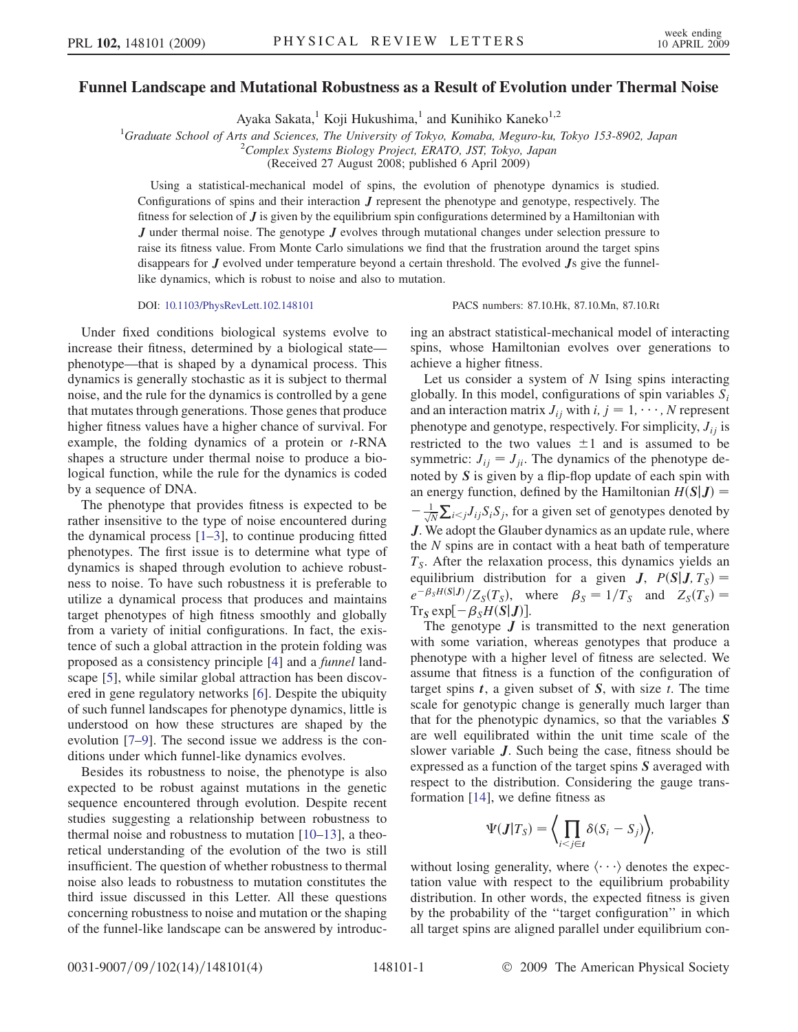## Funnel Landscape and Mutational Robustness as a Result of Evolution under Thermal Noise

Ayaka Sakata,<sup>1</sup> Koji Hukushima,<sup>1</sup> and Kunihiko Kaneko<sup>1,2</sup>

<sup>1</sup>Graduate School of Arts and Sciences, The University of Tokyo, Komaba, Meguro-ku, Tokyo 153-8902, Japan <sup>2</sup>Complex Systems Biology Project EPATO, IST Tokyo, Japan

 $^{2}$ Complex Systems Biology Project, ERATO, JST, Tokyo, Japan

(Received 27 August 2008; published 6 April 2009)

Using a statistical-mechanical model of spins, the evolution of phenotype dynamics is studied. Configurations of spins and their interaction J represent the phenotype and genotype, respectively. The fitness for selection of  $J$  is given by the equilibrium spin configurations determined by a Hamiltonian with  $J$  under thermal noise. The genotype  $J$  evolves through mutational changes under selection pressure to raise its fitness value. From Monte Carlo simulations we find that the frustration around the target spins disappears for  $J$  evolved under temperature beyond a certain threshold. The evolved  $Js$  give the funnellike dynamics, which is robust to noise and also to mutation.

## DOI: [10.1103/PhysRevLett.102.148101](http://dx.doi.org/10.1103/PhysRevLett.102.148101) PACS numbers: 87.10.Hk, 87.10.Mn, 87.10.Rt

Under fixed conditions biological systems evolve to increase their fitness, determined by a biological state phenotype—that is shaped by a dynamical process. This dynamics is generally stochastic as it is subject to thermal noise, and the rule for the dynamics is controlled by a gene that mutates through generations. Those genes that produce higher fitness values have a higher chance of survival. For example, the folding dynamics of a protein or  $t$ -RNA shapes a structure under thermal noise to produce a biological function, while the rule for the dynamics is coded by a sequence of DNA.

The phenotype that provides fitness is expected to be rather insensitive to the type of noise encountered during the dynamical process  $[1-3]$ , to continue producing fitted phenotypes. The first issue is to determine what type of dynamics is shaped through evolution to achieve robustness to noise. To have such robustness it is preferable to utilize a dynamical process that produces and maintains target phenotypes of high fitness smoothly and globally from a variety of initial configurations. In fact, the existence of such a global attraction in the protein folding was proposed as a consistency principle [[4\]](#page-3-0) and a funnel landscape [[5\]](#page-3-0), while similar global attraction has been discovered in gene regulatory networks [\[6](#page-3-0)]. Despite the ubiquity of such funnel landscapes for phenotype dynamics, little is understood on how these structures are shaped by the evolution [\[7–9](#page-3-0)]. The second issue we address is the conditions under which funnel-like dynamics evolves.

Besides its robustness to noise, the phenotype is also expected to be robust against mutations in the genetic sequence encountered through evolution. Despite recent studies suggesting a relationship between robustness to thermal noise and robustness to mutation [\[10–13\]](#page-3-0), a theoretical understanding of the evolution of the two is still insufficient. The question of whether robustness to thermal noise also leads to robustness to mutation constitutes the third issue discussed in this Letter. All these questions concerning robustness to noise and mutation or the shaping of the funnel-like landscape can be answered by introduc-

ing an abstract statistical-mechanical model of interacting spins, whose Hamiltonian evolves over generations to achieve a higher fitness.

Let us consider a system of  $N$  Ising spins interacting globally. In this model, configurations of spin variables  $S_i$ and an interaction matrix  $J_{ij}$  with  $i, j = 1, \dots, N$  represent phenotype and genotype, respectively. For simplicity,  $J_{ij}$  is restricted to the two values  $\pm 1$  and is assumed to be symmetric:  $J_{ij} = J_{ji}$ . The dynamics of the phenotype denoted by S is given by a flip-flop update of each spin with an energy function, defined by the Hamiltonian  $H(S|J)$  =  $-\frac{1}{\sqrt{N}}\sum_{i\leq j}J_{ij}S_iS_j$ , for a given set of genotypes denoted by J. We adopt the Glauber dynamics as an update rule, where the N spins are in contact with a heat bath of temperature  $T<sub>S</sub>$ . After the relaxation process, this dynamics yields an equilibrium distribution for a given **J**,  $P(S|J, T_S) =$  $e^{-\beta_S H(S|J)} / Z_S(T_S)$ , where  $\beta_S = 1/T_S$  and  $Z_S(T_S) =$  $Tr_S \exp[-\beta_S H(S|J)].$ 

The genotype  $J$  is transmitted to the next generation with some variation, whereas genotypes that produce a phenotype with a higher level of fitness are selected. We assume that fitness is a function of the configuration of target spins  $t$ , a given subset of  $S$ , with size  $t$ . The time scale for genotypic change is generally much larger than that for the phenotypic dynamics, so that the variables S are well equilibrated within the unit time scale of the slower variable J. Such being the case, fitness should be expressed as a function of the target spins S averaged with respect to the distribution. Considering the gauge transformation [[14](#page-3-0)], we define fitness as

$$
\Psi(\mathbf{J}|T_{S}) = \bigg\langle \prod_{i < j \in \mathbf{I}} \delta(S_{i} - S_{j}) \bigg\rangle,
$$

without losing generality, where  $\langle \cdots \rangle$  denotes the expectation value with respect to the equilibrium probability distribution. In other words, the expected fitness is given by the probability of the ''target configuration'' in which all target spins are aligned parallel under equilibrium con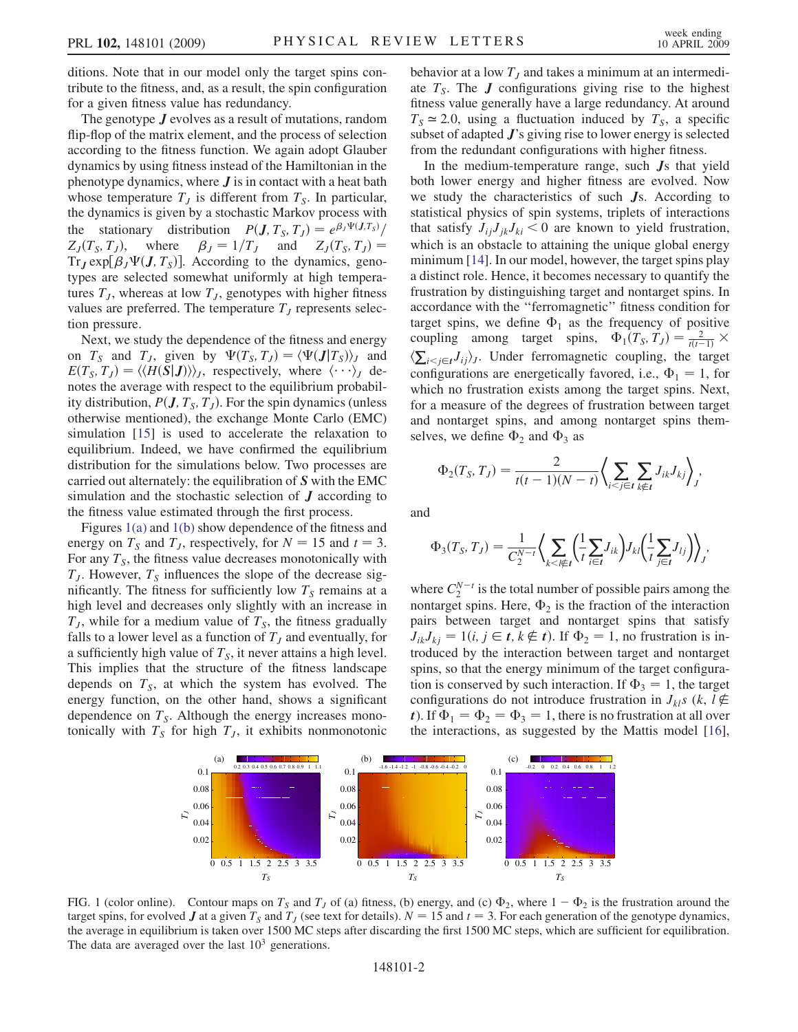<span id="page-1-0"></span>ditions. Note that in our model only the target spins contribute to the fitness, and, as a result, the spin configuration for a given fitness value has redundancy.

The genotype **J** evolves as a result of mutations, random flip-flop of the matrix element, and the process of selection according to the fitness function. We again adopt Glauber dynamics by using fitness instead of the Hamiltonian in the phenotype dynamics, where  $J$  is in contact with a heat bath whose temperature  $T_j$  is different from  $T_s$ . In particular, the dynamics is given by a stochastic Markov process with the stationary distribution  $P(\mathbf{J}, T_S, T_J) = e^{\beta_J \Psi(\mathbf{J}, T_S)}$  $Z_J(T_S, T_J)$ , where  $\beta_J = 1/T_J$  and  $Z_J(T_S, T_J) =$  $Tr_J \exp[\beta_J \Psi(J, T_S)]$ . According to the dynamics, genotypes are selected somewhat uniformly at high temperatures  $T<sub>J</sub>$ , whereas at low  $T<sub>J</sub>$ , genotypes with higher fitness values are preferred. The temperature  $T<sub>J</sub>$  represents selection pressure.

Next, we study the dependence of the fitness and energy on  $T_S$  and  $T_J$ , given by  $\Psi(T_S, T_J) = \langle \Psi(\mathbf{J} | T_S) \rangle_J$  and  $E(T_S, T_J) = \langle \langle H(S|J) \rangle \rangle_J$ , respectively, where  $\langle \cdots \rangle_J$  denotes the average with respect to the equilibrium probability distribution,  $P(J, T<sub>S</sub>, T<sub>J</sub>)$ . For the spin dynamics (unless otherwise mentioned), the exchange Monte Carlo (EMC) simulation [\[15\]](#page-3-0) is used to accelerate the relaxation to equilibrium. Indeed, we have confirmed the equilibrium distribution for the simulations below. Two processes are carried out alternately: the equilibration of S with the EMC simulation and the stochastic selection of  $J$  according to the fitness value estimated through the first process.

Figures 1(a) and 1(b) show dependence of the fitness and energy on  $T_s$  and  $T_j$ , respectively, for  $N = 15$  and  $t = 3$ . For any  $T<sub>S</sub>$ , the fitness value decreases monotonically with  $T_J$ . However,  $T_S$  influences the slope of the decrease significantly. The fitness for sufficiently low  $T<sub>S</sub>$  remains at a high level and decreases only slightly with an increase in  $T_J$ , while for a medium value of  $T_S$ , the fitness gradually falls to a lower level as a function of  $T_J$  and eventually, for a sufficiently high value of  $T<sub>S</sub>$ , it never attains a high level. This implies that the structure of the fitness landscape depends on  $T<sub>S</sub>$ , at which the system has evolved. The energy function, on the other hand, shows a significant dependence on  $T<sub>S</sub>$ . Although the energy increases monotonically with  $T<sub>S</sub>$  for high  $T<sub>J</sub>$ , it exhibits nonmonotonic behavior at a low  $T<sub>J</sub>$  and takes a minimum at an intermediate  $T<sub>S</sub>$ . The **J** configurations giving rise to the highest fitness value generally have a large redundancy. At around  $T<sub>S</sub> \approx 2.0$ , using a fluctuation induced by  $T<sub>S</sub>$ , a specific subset of adapted  $J$ 's giving rise to lower energy is selected from the redundant configurations with higher fitness.

In the medium-temperature range, such Js that yield both lower energy and higher fitness are evolved. Now we study the characteristics of such  $J<sub>s</sub>$ . According to statistical physics of spin systems, triplets of interactions that satisfy  $J_{ij}J_{jk}J_{ki} < 0$  are known to yield frustration, which is an obstacle to attaining the unique global energy minimum [\[14\]](#page-3-0). In our model, however, the target spins play a distinct role. Hence, it becomes necessary to quantify the frustration by distinguishing target and nontarget spins. In accordance with the ''ferromagnetic'' fitness condition for target spins, we define  $\Phi_1$  as the frequency of positive coupling among target spins,  $\Phi_1(T_S, T_J) = \frac{2}{t(t-1)} \times$  $\langle \sum_{i \leq j \in I} J_{ij} \rangle_j$ . Under ferromagnetic coupling, the target configurations are energetically favored, i.e.,  $\Phi_1 = 1$ , for which no frustration exists among the target spins. Next, for a measure of the degrees of frustration between target and nontarget spins, and among nontarget spins themselves, we define  $\Phi_2$  and  $\Phi_3$  as

$$
\Phi_2(T_S, T_J) = \frac{2}{t(t-1)(N-t)} \left\langle \sum_{i < j \in t} \sum_{k \notin t} J_{ik} J_{kj} \right\rangle_j,
$$

and

$$
\Phi_3(T_S, T_J) = \frac{1}{C_2^{N-t}} \bigg\langle \sum_{k < l \notin I} \bigg(\frac{1}{t} \sum_{i \in I} J_{ik}\bigg) J_{kl} \bigg(\frac{1}{t} \sum_{j \in I} J_{lj}\bigg) \bigg\rangle_j,
$$

where  $C_2^{N-t}$  is the total number of possible pairs among the nontarget spins. Here,  $\Phi_2$  is the fraction of the interaction pairs between target and nontarget spins that satisfy  $J_{ik}J_{kj} = 1(i, j \in t, k \notin t)$ . If  $\Phi_2 = 1$ , no frustration is introduced by the interaction between target and nontarget spins, so that the energy minimum of the target configuration is conserved by such interaction. If  $\Phi_3 = 1$ , the target configurations do not introduce frustration in  $J_{kl}$ s (k, l $\notin$ t). If  $\Phi_1 = \Phi_2 = \Phi_3 = 1$ , there is no frustration at all over the interactions, as suggested by the Mattis model [[16\]](#page-3-0),



FIG. 1 (color online). Contour maps on  $T<sub>S</sub>$  and  $T<sub>J</sub>$  of (a) fitness, (b) energy, and (c)  $\Phi_2$ , where  $1 - \Phi_2$  is the frustration around the target spins, for evolved J at a given  $T_s$  and  $T_j$  (see text for details).  $N = 15$  and  $t = 3$ . For each generation of the genotype dynamics, the average in equilibrium is taken over 1500 MC steps after discarding the first 1500 MC steps, which are sufficient for equilibration. The data are averaged over the last  $10<sup>3</sup>$  generations.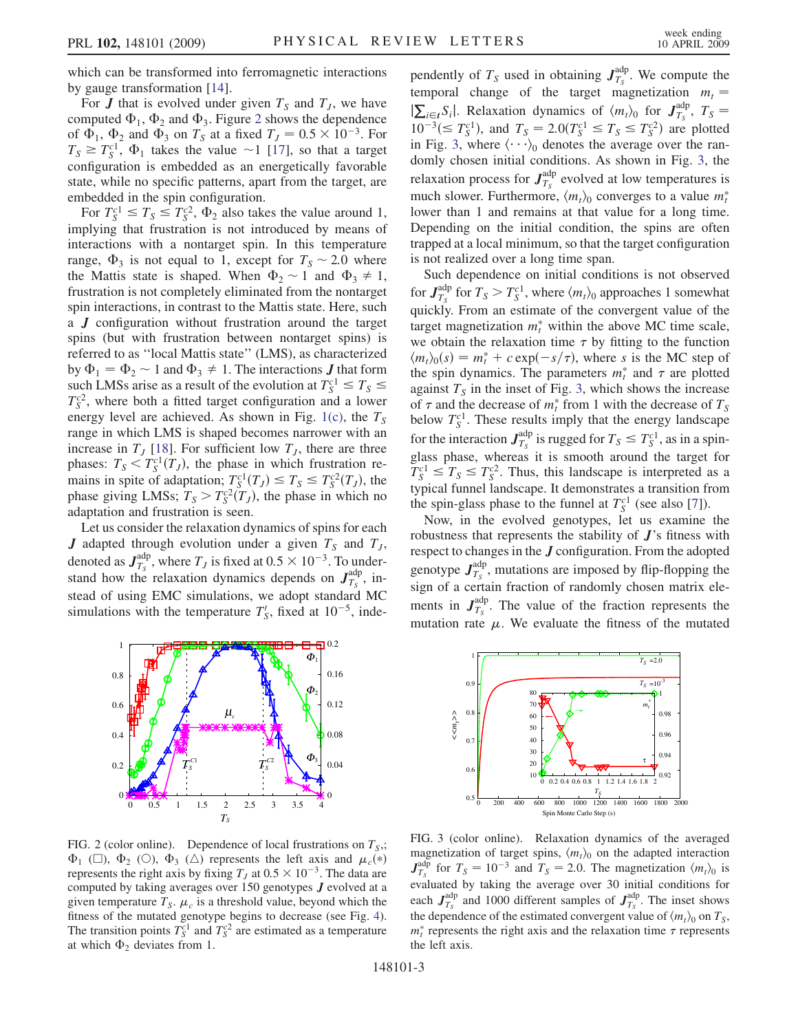<span id="page-2-0"></span>which can be transformed into ferromagnetic interactions by gauge transformation [[14](#page-3-0)].

For  $J$  that is evolved under given  $T_S$  and  $T_J$ , we have computed  $\Phi_1$ ,  $\Phi_2$  and  $\Phi_3$ . Figure 2 shows the dependence of  $\Phi_1$ ,  $\Phi_2$  and  $\Phi_3$  on  $T_s$  at a fixed  $T_J = 0.5 \times 10^{-3}$ . For  $T_s \geq T_s^{c1}$ ,  $\Phi_1$  takes the value ~1 [[17](#page-3-0)], so that a target configuration is embedded as an energetically favorable state, while no specific patterns, apart from the target, are embedded in the spin configuration.

For  $T_S^{c1} \le T_S \le T_S^{c2}$ ,  $\Phi_2$  also takes the value around 1, implying that frustration is not introduced by means of interactions with a nontarget spin. In this temperature range,  $\Phi_3$  is not equal to 1, except for  $T_s \sim 2.0$  where the Mattis state is shaped. When  $\Phi_2 \sim 1$  and  $\Phi_3 \neq 1$ , frustration is not completely eliminated from the nontarget spin interactions, in contrast to the Mattis state. Here, such a J configuration without frustration around the target spins (but with frustration between nontarget spins) is referred to as ''local Mattis state'' (LMS), as characterized by  $\Phi_1 = \Phi_2 \sim 1$  and  $\Phi_3 \neq 1$ . The interactions **J** that form such LMSs arise as a result of the evolution at  $T_S^{c1} \le T_S \le$  $T_S^{c2}$ , where both a fitted target configuration and a lower energy level are achieved. As shown in Fig. [1\(c\)](#page-1-0), the  $T<sub>S</sub>$ range in which LMS is shaped becomes narrower with an increase in  $T<sub>J</sub>$  [\[18](#page-3-0)]. For sufficient low  $T<sub>J</sub>$ , there are three phases:  $T_S < T_S^{c1}(T_J)$ , the phase in which frustration remains in spite of adaptation;  $T_S^{c1}(T_J) \leq T_S \leq T_S^{c2}(T_J)$ , the phase giving LMSs;  $T_s > T_s^{c2} (T_J)$ , the phase in which no adaptation and frustration is seen.

Let us consider the relaxation dynamics of spins for each **J** adapted through evolution under a given  $T<sub>S</sub>$  and  $T<sub>J</sub>$ , denoted as  $J_{T_s}^{\text{adp}}$ , where  $T_J$  is fixed at  $0.5 \times 10^{-3}$ . To understand how the relaxation dynamics depends on  $J_{T_s}^{\text{adp}}$ , instead of using EMC simulations, we adopt standard MC simulations with the temperature  $T'_{S}$ , fixed at 10<sup>-5</sup>, inde-



FIG. 2 (color online). Dependence of local frustrations on  $T_s$ ,  $\Phi_1$  ( $\square$ ),  $\Phi_2$  ( $\square$ ),  $\Phi_3$  ( $\square$ ) represents the left axis and  $\mu_c(*)$ represents the right axis by fixing  $T_J$  at  $0.5 \times 10^{-3}$ . The data are computed by taking averages over 150 genotypes J evolved at a given temperature  $T_S$ .  $\mu_c$  is a threshold value, beyond which the fitness of the mutated genotype begins to decrease (see Fig. [4\)](#page-3-0). The transition points  $T_S^{c1}$  and  $T_S^{c2}$  are estimated as a temperature at which  $\Phi_2$  deviates from 1.

pendently of  $T_s$  used in obtaining  $J_{T_s}^{\text{adp}}$ . We compute the temporal change of the target magnetization  $m_t =$  $|\sum_{i \in t} S_i|$ . Relaxation dynamics of  $\langle m_t \rangle_0$  for  $J_{T_s}^{adp}$ ,  $T_s =$  $10^{-3} (\leq T_S^{c1})$ , and  $T_S = 2.0(T_S^{c1} \leq T_S \leq T_S^{c2})$  are plotted in Fig. 3, where  $\langle \cdot \cdot \cdot \rangle_0$  denotes the average over the randomly chosen initial conditions. As shown in Fig. 3, the relaxation process for  $J_{T_s}^{\text{adp}}$  evolved at low temperatures is much slower. Furthermore,  $\langle m_t \rangle_0$  converges to a value  $m_t^*$ lower than 1 and remains at that value for a long time. Depending on the initial condition, the spins are often trapped at a local minimum, so that the target configuration is not realized over a long time span.

Such dependence on initial conditions is not observed for  $J_{T_S}^{\text{adp}}$  for  $T_S > T_S^{c1}$ , where  $\langle m_t \rangle_0$  approaches 1 somewhat quickly. From an estimate of the convergent value of the target magnetization  $m_t^*$  within the above MC time scale, we obtain the relaxation time  $\tau$  by fitting to the function  $\langle m_t \rangle_0(s) = m_t^* + c \exp(-s/\tau)$ , where s is the MC step of the spin dynamics. The parameters  $m_t^*$  and  $\tau$  are plotted against  $T<sub>S</sub>$  in the inset of Fig. 3, which shows the increase of  $\tau$  and the decrease of  $m_t^*$  from 1 with the decrease of  $T_s$ below  $T_S^{c1}$ . These results imply that the energy landscape for the interaction  $J_{T_S}^{\text{adp}}$  is rugged for  $T_S \leq T_S^{c1}$ , as in a spinglass phase, whereas it is smooth around the target for  $T_S^{c1} \leq T_S \leq T_S^{c2}$ . Thus, this landscape is interpreted as a typical funnel landscape. It demonstrates a transition from the spin-glass phase to the funnel at  $T_S^{c1}$  (see also [[7](#page-3-0)]).

Now, in the evolved genotypes, let us examine the robustness that represents the stability of J's fitness with respect to changes in the J configuration. From the adopted genotype  $J_{T_s}^{adp}$ , mutations are imposed by flip-flopping the sign of a certain fraction of randomly chosen matrix elements in  $J_{T_s}^{\text{adp}}$ . The value of the fraction represents the mutation rate  $\mu$ . We evaluate the fitness of the mutated



FIG. 3 (color online). Relaxation dynamics of the averaged magnetization of target spins,  $\langle m_t \rangle$  on the adapted interaction  $J_{T_s}^{\text{adp}}$  for  $T_s = 10^{-3}$  and  $T_s = 2.0$ . The magnetization  $\langle m_t \rangle_0$  is evaluated by taking the average over 30 initial conditions for each  $J_{T_s}^{\text{adp}}$  and 1000 different samples of  $J_{T_s}^{\text{adp}}$ . The inset shows the dependence of the estimated convergent value of  $\langle m_t \rangle_0$  on  $T_s$ ,  $m_t^*$  represents the right axis and the relaxation time  $\tau$  represents the left axis.